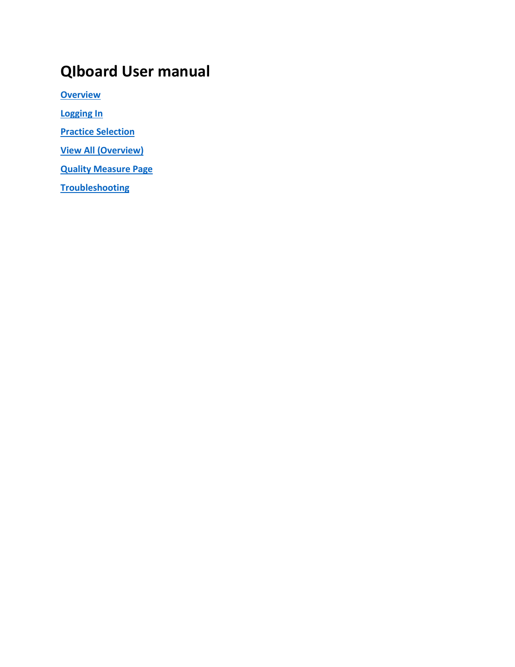# **QIboard User manual**

**[Overview](#page-1-0)**

**[Logging In](#page-1-1)**

**[Practice Selection](#page-2-0)**

**[View All \(Overview\)](#page-3-0)**

**[Quality Measure Page](#page-4-0)**

**[Troubleshooting](#page-5-0)**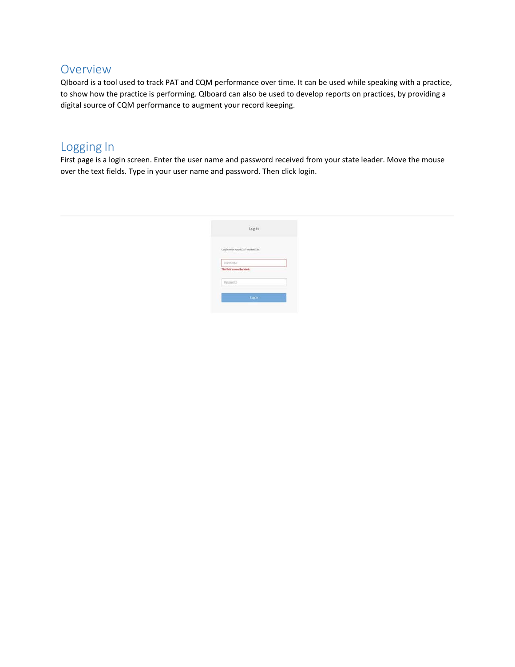### <span id="page-1-0"></span>Overview

QIboard is a tool used to track PAT and CQM performance over time. It can be used while speaking with a practice, to show how the practice is performing. QIboard can also be used to develop reports on practices, by providing a digital source of CQM performance to augment your record keeping.

### <span id="page-1-1"></span>Logging In

First page is a login screen. Enter the user name and password received from your state leader. Move the mouse over the text fields. Type in your user name and password. Then click login.

| Login                                    |  |
|------------------------------------------|--|
| Log in with your LDAP credentials<br>-av |  |
| Usemame<br>This field cannot be blank.   |  |
|                                          |  |
| Password                                 |  |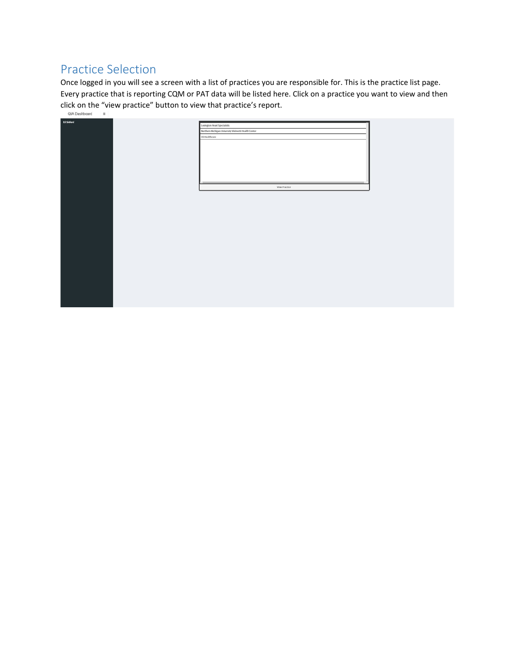## <span id="page-2-0"></span>Practice Selection

Once logged in you will see a screen with a list of practices you are responsible for. This is the practice list page. Every practice that is reporting CQM or PAT data will be listed here. Click on a practice you want to view and then click on the "view practice" button to view that practice's report.<br>  $\frac{Q(A \text{ Dosh} \log d)}{Q(A \text{ Dosh} \log d)}$ 

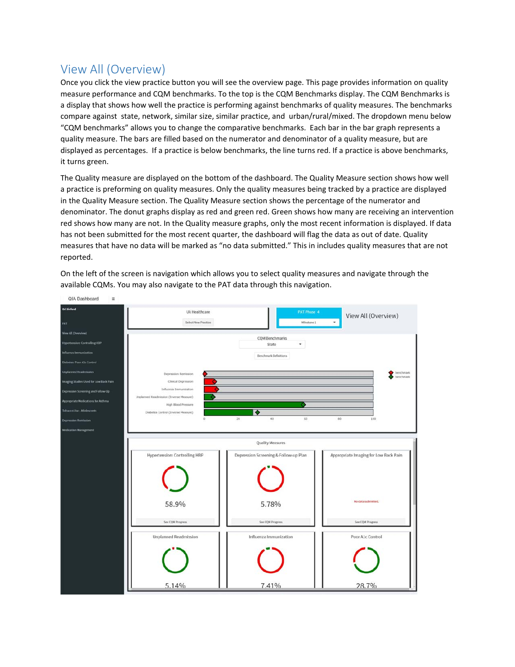### <span id="page-3-0"></span>View All (Overview)

Once you click the view practice button you will see the overview page. This page provides information on quality measure performance and CQM benchmarks. To the top is the CQM Benchmarks display. The CQM Benchmarks is a display that shows how well the practice is performing against benchmarks of quality measures. The benchmarks compare against state, network, similar size, similar practice, and urban/rural/mixed. The dropdown menu below "CQM benchmarks" allows you to change the comparative benchmarks. Each bar in the bar graph represents a quality measure. The bars are filled based on the numerator and denominator of a quality measure, but are displayed as percentages. If a practice is below benchmarks, the line turns red. If a practice is above benchmarks, it turns green.

The Quality measure are displayed on the bottom of the dashboard. The Quality Measure section shows how well a practice is preforming on quality measures. Only the quality measures being tracked by a practice are displayed in the Quality Measure section. The Quality Measure section shows the percentage of the numerator and denominator. The donut graphs display as red and green red. Green shows how many are receiving an intervention red shows how many are not. In the Quality measure graphs, only the most recent information is displayed. If data has not been submitted for the most recent quarter, the dashboard will flag the data as out of date. Quality measures that have no data will be marked as "no data submitted." This in includes quality measures that are not reported.

On the left of the screen is navigation which allows you to select quality measures and navigate through the available CQMs. You may also navigate to the PAT data through this navigation.

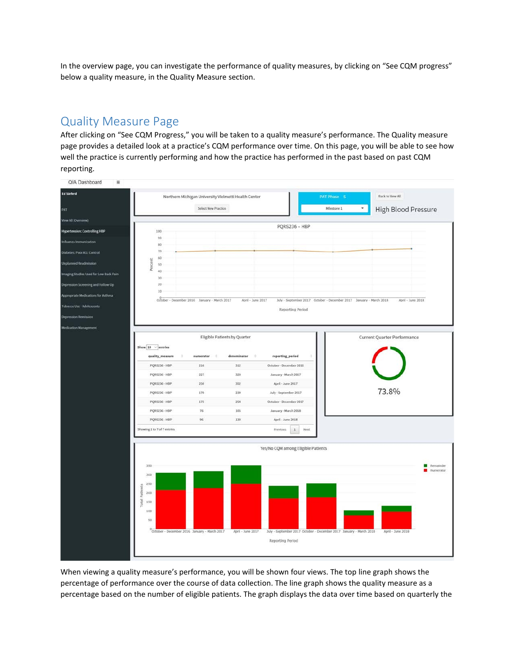In the overview page, you can investigate the performance of quality measures, by clicking on "See CQM progress" below a quality measure, in the Quality Measure section.

### <span id="page-4-0"></span>Quality Measure Page

After clicking on "See CQM Progress," you will be taken to a quality measure's performance. The Quality measure page provides a detailed look at a practice's CQM performance over time. On this page, you will be able to see how well the practice is currently performing and how the practice has performed in the past based on past CQM reporting.



When viewing a quality measure's performance, you will be shown four views. The top line graph shows the percentage of performance over the course of data collection. The line graph shows the quality measure as a percentage based on the number of eligible patients. The graph displays the data over time based on quarterly the